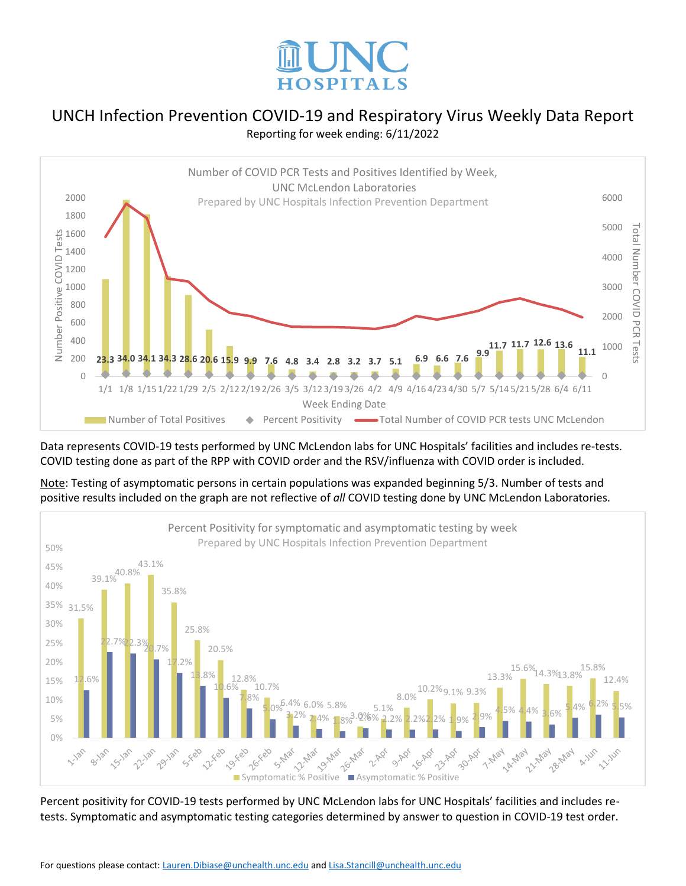



Data represents COVID-19 tests performed by UNC McLendon labs for UNC Hospitals' facilities and includes re-tests. COVID testing done as part of the RPP with COVID order and the RSV/influenza with COVID order is included.

Percent Positivity for symptomatic and asymptomatic testing by week Prepared by UNC Hospitals Infection Prevention Department 50% 43.1%<br>39.1%<sup>40.8%</sup> 45% 40% 35.8% 35% 31.5% 30% 25.8%  $2.3\frac{2}{9}$   $7\frac{8}{9}$ 25% 20.5% 20% 17.2% 13.3% 15.6%14.3%13.8% 15.8% 13.8% 12.8% 15%  $12.6\%$  13.3%  $12.8\%$  12.8%  $12.8\%$  13.3%  $12.4\%$ 10.7% 10.2%9.1% 9.3% 10.6% 8.0% 7.8% 10%  $5.0\%$  6.4% 6.0% 5.8% 5.4% 6.2% 5.5% 5.1%  $\frac{3}{2}$ 2% 2.4% 1.8% 2.9% 2.2% 2.2% 2.2% 1.9% 2.9% 4.5% 4.4% 3.6%  $3.0\%$ % 5% 0% **14-May** 28-May is rela **0 22-400** Symptomatic % Positive Asymptomatic % Positive 1-May 21-May 11.185 **15-18h** 22.120 29-Jan 9-Apr A-Jun **11-145** 

Note: Testing of asymptomatic persons in certain populations was expanded beginning 5/3. Number of tests and positive results included on the graph are not reflective of *all* COVID testing done by UNC McLendon Laboratories.

Percent positivity for COVID-19 tests performed by UNC McLendon labs for UNC Hospitals' facilities and includes retests. Symptomatic and asymptomatic testing categories determined by answer to question in COVID-19 test order.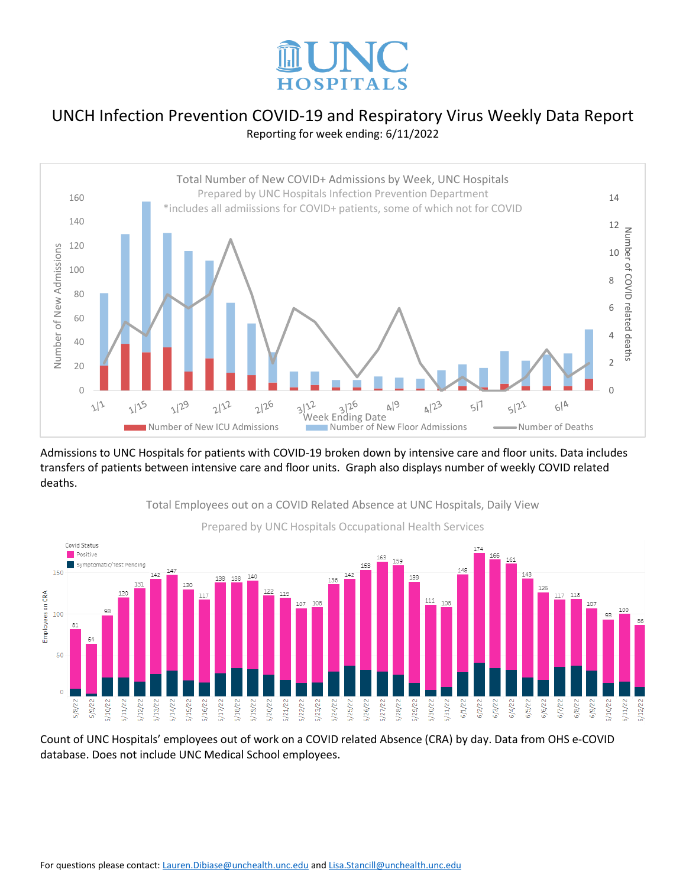



Admissions to UNC Hospitals for patients with COVID-19 broken down by intensive care and floor units. Data includes transfers of patients between intensive care and floor units. Graph also displays number of weekly COVID related deaths.



Total Employees out on a COVID Related Absence at UNC Hospitals, Daily View

Count of UNC Hospitals' employees out of work on a COVID related Absence (CRA) by day. Data from OHS e-COVID database. Does not include UNC Medical School employees.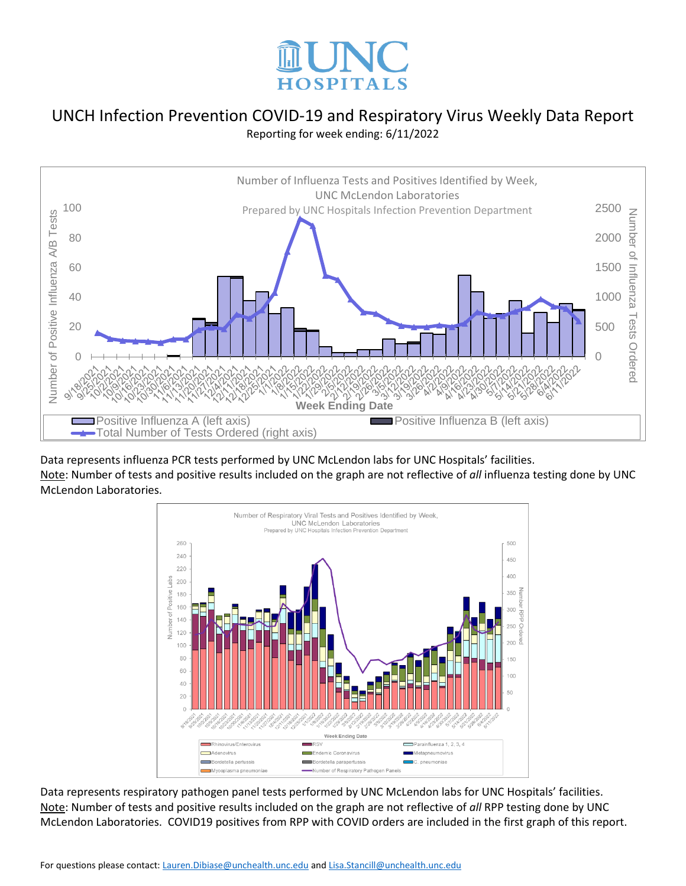



Data represents influenza PCR tests performed by UNC McLendon labs for UNC Hospitals' facilities. Note: Number of tests and positive results included on the graph are not reflective of *all* influenza testing done by UNC McLendon Laboratories.



Data represents respiratory pathogen panel tests performed by UNC McLendon labs for UNC Hospitals' facilities. Note: Number of tests and positive results included on the graph are not reflective of *all* RPP testing done by UNC McLendon Laboratories. COVID19 positives from RPP with COVID orders are included in the first graph of this report.